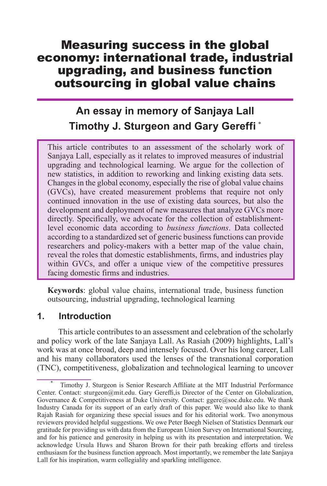# Measuring success in the global economy: international trade, industrial upgrading, and business function outsourcing in global value chains

# **An essay in memory of Sanjaya Lall Timothy J. Sturgeon and Gary Gereffi**<sup>\*</sup>

This article contributes to an assessment of the scholarly work of Sanjaya Lall, especially as it relates to improved measures of industrial upgrading and technological learning. We argue for the collection of new statistics, in addition to reworking and linking existing data sets. Changes in the global economy, especially the rise of global value chains (GVCs), have created measurement problems that require not only continued innovation in the use of existing data sources, but also the development and deployment of new measures that analyze GVCs more directly. Specifically, we advocate for the collection of establishmentlevel economic data according to *business functions*. Data collected according to a standardized set of generic business functions can provide researchers and policy-makers with a better map of the value chain, reveal the roles that domestic establishments, firms, and industries play within GVCs, and offer a unique view of the competitive pressures facing domestic firms and industries.

**Keywords**: global value chains, international trade, business function outsourcing, industrial upgrading, technological learning

#### **1. Introduction**

This article contributes to an assessment and celebration of the scholarly and policy work of the late Sanjaya Lall. As Rasiah (2009) highlights, Lall's work was at once broad, deep and intensely focused. Over his long career, Lall and his many collaborators used the lenses of the transnational corporation (TNC), competitiveness, globalization and technological learning to uncover

<sup>\*</sup> Timothy J. Sturgeon is Senior Research Affiliate at the MIT Industrial Performance Center. Contact: sturgeon@mit.edu. Gary Gereffi,is Director of the Center on Globalization, Governance & Competitiveness at Duke University. Contact:  $ggere@soc.duke.edu.$  We thank Industry Canada for its support of an early draft of this paper. We would also like to thank Rajah Rasiah for organizing these special issues and for his editorial work. Two anonymous reviewers provided helpful suggestions. We owe Peter Bøegh Nielsen of Statistics Denmark our gratitude for providing us with data from the European Union Survey on International Sourcing, and for his patience and generosity in helping us with its presentation and interpretation. We acknowledge Ursula Huws and Sharon Brown for their path breaking efforts and tireless enthusiasm for the business function approach. Most importantly, we remember the late Sanjaya Lall for his inspiration, warm collegiality and sparkling intelligence.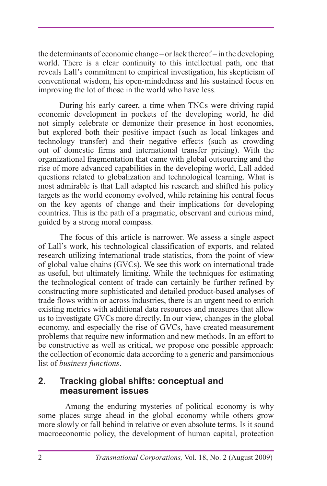the determinants of economic change – or lack thereof – in the developing world. There is a clear continuity to this intellectual path, one that reveals Lall's commitment to empirical investigation, his skepticism of conventional wisdom, his open-mindedness and his sustained focus on improving the lot of those in the world who have less.

During his early career, a time when TNCs were driving rapid economic development in pockets of the developing world, he did not simply celebrate or demonize their presence in host economies, but explored both their positive impact (such as local linkages and technology transfer) and their negative effects (such as crowding out of domestic firms and international transfer pricing). With the organizational fragmentation that came with global outsourcing and the rise of more advanced capabilities in the developing world, Lall added questions related to globalization and technological learning. What is most admirable is that Lall adapted his research and shifted his policy targets as the world economy evolved, while retaining his central focus on the key agents of change and their implications for developing countries. This is the path of a pragmatic, observant and curious mind, guided by a strong moral compass.

The focus of this article is narrower. We assess a single aspect of Lall's work, his technological classification of exports, and related research utilizing international trade statistics, from the point of view of global value chains (GVCs). We see this work on international trade as useful, but ultimately limiting. While the techniques for estimating the technological content of trade can certainly be further refined by constructing more sophisticated and detailed product-based analyses of trade flows within or across industries, there is an urgent need to enrich existing metrics with additional data resources and measures that allow us to investigate GVCs more directly. In our view, changes in the global economy, and especially the rise of GVCs, have created measurement problems that require new information and new methods. In an effort to be constructive as well as critical, we propose one possible approach: the collection of economic data according to a generic and parsimonious list of *business functions*.

### **2. Tracking global shifts: conceptual and measurement issues**

Among the enduring mysteries of political economy is why some places surge ahead in the global economy while others grow more slowly or fall behind in relative or even absolute terms. Is it sound macroeconomic policy, the development of human capital, protection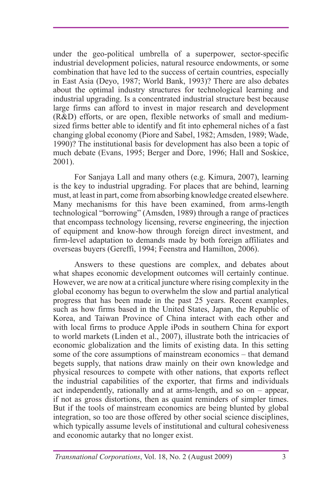under the geo-political umbrella of a superpower, sector-specific industrial development policies, natural resource endowments, or some combination that have led to the success of certain countries, especially in East Asia (Deyo, 1987; World Bank, 1993)? There are also debates about the optimal industry structures for technological learning and industrial upgrading. Is a concentrated industrial structure best because large firms can afford to invest in major research and development (R&D) efforts, or are open, flexible networks of small and mediumsized firms better able to identify and fit into ephemeral niches of a fast changing global economy (Piore and Sabel, 1982; Amsden, 1989; Wade, 1990)? The institutional basis for development has also been a topic of much debate (Evans, 1995; Berger and Dore, 1996; Hall and Soskice, 2001).

For Sanjaya Lall and many others (e.g. Kimura, 2007), learning is the key to industrial upgrading. For places that are behind, learning must, at least in part, come from absorbing knowledge created elsewhere. Many mechanisms for this have been examined, from arms-length technological "borrowing" (Amsden, 1989) through a range of practices that encompass technology licensing, reverse engineering, the injection of equipment and know-how through foreign direct investment, and firm-level adaptation to demands made by both foreign affiliates and overseas buyers (Gereffi, 1994; Feenstra and Hamilton, 2006).

Answers to these questions are complex, and debates about what shapes economic development outcomes will certainly continue. However, we are now at a critical juncture where rising complexity in the global economy has begun to overwhelm the slow and partial analytical progress that has been made in the past 25 years. Recent examples, such as how firms based in the United States, Japan, the Republic of Korea, and Taiwan Province of China interact with each other and with local firms to produce Apple iPods in southern China for export to world markets (Linden et al., 2007), illustrate both the intricacies of economic globalization and the limits of existing data. In this setting some of the core assumptions of mainstream economics – that demand begets supply, that nations draw mainly on their own knowledge and physical resources to compete with other nations, that exports reflect the industrial capabilities of the exporter, that firms and individuals act independently, rationally and at arms-length, and so on – appear, if not as gross distortions, then as quaint reminders of simpler times. But if the tools of mainstream economics are being blunted by global integration, so too are those offered by other social science disciplines, which typically assume levels of institutional and cultural cohesiveness and economic autarky that no longer exist.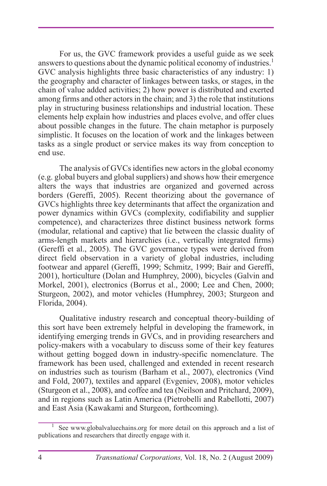For us, the GVC framework provides a useful guide as we seek answers to questions about the dynamic political economy of industries.<sup>1</sup> GVC analysis highlights three basic characteristics of any industry: 1) the geography and character of linkages between tasks, or stages, in the chain of value added activities; 2) how power is distributed and exerted among firms and other actors in the chain; and 3) the role that institutions play in structuring business relationships and industrial location. These elements help explain how industries and places evolve, and offer clues about possible changes in the future. The chain metaphor is purposely simplistic. It focuses on the location of work and the linkages between tasks as a single product or service makes its way from conception to end use.

The analysis of GVCs identifies new actors in the global economy (e.g. global buyers and global suppliers) and shows how their emergence alters the ways that industries are organized and governed across borders (Gereffi, 2005). Recent theorizing about the governance of GVCs highlights three key determinants that affect the organization and power dynamics within GVCs (complexity, codifiability and supplier competence), and characterizes three distinct business network forms (modular, relational and captive) that lie between the classic duality of arms-length markets and hierarchies (i.e., vertically integrated firms) (Gereffi et al., 2005). The GVC governance types were derived from direct field observation in a variety of global industries, including footwear and apparel (Gereffi, 1999; Schmitz, 1999; Bair and Gereffi, 2001), horticulture (Dolan and Humphrey, 2000), bicycles (Galvin and Morkel, 2001), electronics (Borrus et al., 2000; Lee and Chen, 2000; Sturgeon, 2002), and motor vehicles (Humphrey, 2003; Sturgeon and Florida, 2004).

Qualitative industry research and conceptual theory-building of this sort have been extremely helpful in developing the framework, in identifying emerging trends in GVCs, and in providing researchers and policy-makers with a vocabulary to discuss some of their key features without getting bogged down in industry-specific nomenclature. The framework has been used, challenged and extended in recent research on industries such as tourism (Barham et al., 2007), electronics (Vind and Fold, 2007), textiles and apparel (Evgeniev, 2008), motor vehicles (Sturgeon et al., 2008), and coffee and tea (Neilson and Pritchard, 2009), and in regions such as Latin America (Pietrobelli and Rabellotti, 2007) and East Asia (Kawakami and Sturgeon, forthcoming).

<sup>1</sup> See www.globalvaluechains.org for more detail on this approach and a list of publications and researchers that directly engage with it.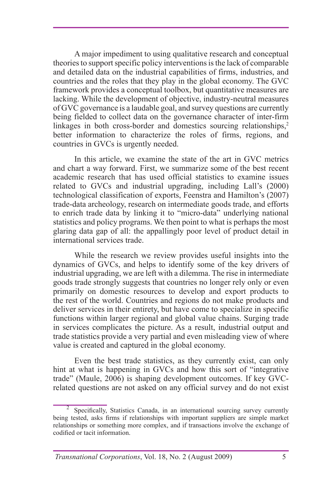A major impediment to using qualitative research and conceptual theories to support specific policy interventions is the lack of comparable and detailed data on the industrial capabilities of firms, industries, and countries and the roles that they play in the global economy. The GVC framework provides a conceptual toolbox, but quantitative measures are lacking. While the development of objective, industry-neutral measures of GVC governance is a laudable goal, and survey questions are currently being fielded to collect data on the governance character of inter-firm linkages in both cross-border and domestics sourcing relationships, $2$ better information to characterize the roles of firms, regions, and countries in GVCs is urgently needed.

In this article, we examine the state of the art in GVC metrics and chart a way forward. First, we summarize some of the best recent academic research that has used official statistics to examine issues related to GVCs and industrial upgrading, including Lall's (2000) technological classification of exports, Feenstra and Hamilton's (2007) trade-data archeology, research on intermediate goods trade, and efforts to enrich trade data by linking it to "micro-data" underlying national statistics and policy programs. We then point to what is perhaps the most glaring data gap of all: the appallingly poor level of product detail in international services trade.

While the research we review provides useful insights into the dynamics of GVCs, and helps to identify some of the key drivers of industrial upgrading, we are left with a dilemma. The rise in intermediate goods trade strongly suggests that countries no longer rely only or even primarily on domestic resources to develop and export products to the rest of the world. Countries and regions do not make products and deliver services in their entirety, but have come to specialize in specific functions within larger regional and global value chains. Surging trade in services complicates the picture. As a result, industrial output and trade statistics provide a very partial and even misleading view of where value is created and captured in the global economy.

Even the best trade statistics, as they currently exist, can only hint at what is happening in GVCs and how this sort of "integrative trade" (Maule, 2006) is shaping development outcomes. If key GVCrelated questions are not asked on any official survey and do not exist

 $2$  Specifically, Statistics Canada, in an international sourcing survey currently being tested, asks firms if relationships with important suppliers are simple market relationships or something more complex, and if transactions involve the exchange of codified or tacit information.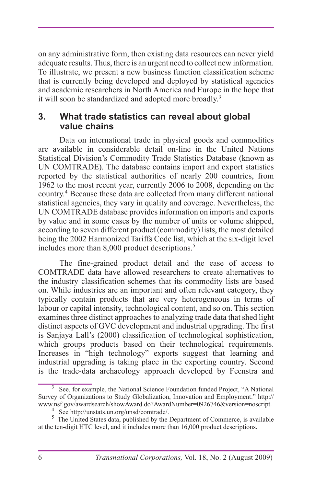on any administrative form, then existing data resources can never yield adequate results. Thus, there is an urgent need to collect new information. To illustrate, we present a new business function classification scheme that is currently being developed and deployed by statistical agencies and academic researchers in North America and Europe in the hope that it will soon be standardized and adopted more broadly.<sup>3</sup>

#### **3. What trade statistics can reveal about global value chains**

Data on international trade in physical goods and commodities are available in considerable detail on-line in the United Nations Statistical Division's Commodity Trade Statistics Database (known as UN COMTRADE). The database contains import and export statistics reported by the statistical authorities of nearly 200 countries, from 1962 to the most recent year, currently 2006 to 2008, depending on the country.4 Because these data are collected from many different national statistical agencies, they vary in quality and coverage. Nevertheless, the UN COMTRADE database provides information on imports and exports by value and in some cases by the number of units or volume shipped, according to seven different product (commodity) lists, the most detailed being the 2002 Harmonized Tariffs Code list, which at the six-digit level includes more than 8,000 product descriptions.<sup>5</sup>

The fine-grained product detail and the ease of access to COMTRADE data have allowed researchers to create alternatives to the industry classification schemes that its commodity lists are based on. While industries are an important and often relevant category, they typically contain products that are very heterogeneous in terms of labour or capital intensity, technological content, and so on. This section examines three distinct approaches to analyzing trade data that shed light distinct aspects of GVC development and industrial upgrading. The first is Sanjaya Lall's (2000) classification of technological sophistication, which groups products based on their technological requirements. Increases in "high technology" exports suggest that learning and industrial upgrading is taking place in the exporting country. Second is the trade-data archaeology approach developed by Feenstra and

<sup>&</sup>lt;sup>3</sup> See, for example, the National Science Foundation funded Project, "A National Survey of Organizations to Study Globalization, Innovation and Employment." http:// www.nsf.gov/awardsearch/showAward.do?AwardNumber=0926746&version=noscript.<br>
4See http://unstats.un.org/unsd/comtrade/.

 $5$  The United States data, published by the Department of Commerce, is available at the ten-digit HTC level, and it includes more than 16,000 product descriptions.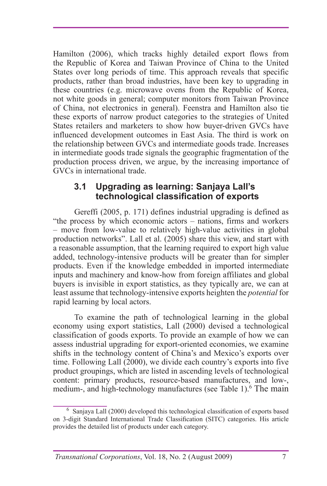Hamilton (2006), which tracks highly detailed export flows from the Republic of Korea and Taiwan Province of China to the United States over long periods of time. This approach reveals that specific products, rather than broad industries, have been key to upgrading in these countries (e.g. microwave ovens from the Republic of Korea, not white goods in general; computer monitors from Taiwan Province of China, not electronics in general). Feenstra and Hamilton also tie these exports of narrow product categories to the strategies of United States retailers and marketers to show how buyer-driven GVCs have influenced development outcomes in East Asia. The third is work on the relationship between GVCs and intermediate goods trade. Increases in intermediate goods trade signals the geographic fragmentation of the production process driven, we argue, by the increasing importance of GVCs in international trade.

#### **3.1 Upgrading as learning: Sanjaya Lall's technological classification of exports**

Gereffi (2005, p. 171) defines industrial upgrading is defined as "the process by which economic actors – nations, firms and workers – move from low-value to relatively high-value activities in global production networks". Lall et al. (2005) share this view, and start with a reasonable assumption, that the learning required to export high value added, technology-intensive products will be greater than for simpler products. Even if the knowledge embedded in imported intermediate inputs and machinery and know-how from foreign affiliates and global buyers is invisible in export statistics, as they typically are, we can at least assume that technology-intensive exports heighten the *potential* for rapid learning by local actors.

To examine the path of technological learning in the global economy using export statistics, Lall (2000) devised a technological classification of goods exports. To provide an example of how we can assess industrial upgrading for export-oriented economies, we examine shifts in the technology content of China's and Mexico's exports over time. Following Lall (2000), we divide each country's exports into five product groupings, which are listed in ascending levels of technological content: primary products, resource-based manufactures, and low-, medium-, and high-technology manufactures (see Table 1).<sup>6</sup> The main

<sup>&</sup>lt;sup>6</sup> Sanjaya Lall (2000) developed this technological classification of exports based on 3-digit Standard International Trade Classification (SITC) categories. His article provides the detailed list of products under each category.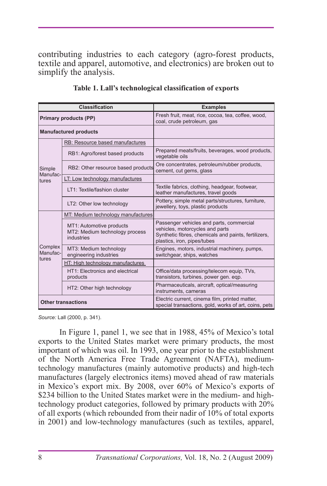contributing industries to each category (agro-forest products, textile and apparel, automotive, and electronics) are broken out to simplify the analysis.

| <b>Classification</b>        |                                                                          | <b>Examples</b>                                                                                                                                                    |  |  |
|------------------------------|--------------------------------------------------------------------------|--------------------------------------------------------------------------------------------------------------------------------------------------------------------|--|--|
| <b>Primary products (PP)</b> |                                                                          | Fresh fruit, meat, rice, cocoa, tea, coffee, wood,<br>coal, crude petroleum, gas                                                                                   |  |  |
| <b>Manufactured products</b> |                                                                          |                                                                                                                                                                    |  |  |
|                              | RB: Resource based manufactures                                          |                                                                                                                                                                    |  |  |
|                              | RB1: Agro/forest based products                                          | Prepared meats/fruits, beverages, wood products,<br>vegetable oils                                                                                                 |  |  |
| Simple<br>Manufac-           | RB2: Other resource based products                                       | Ore concentrates, petroleum/rubber products,<br>cement, cut gems, glass                                                                                            |  |  |
| tures                        | LT: Low technology manufactures                                          |                                                                                                                                                                    |  |  |
|                              | LT1: Textile/fashion cluster                                             | Textile fabrics, clothing, headgear, footwear,<br>leather manufactures, travel goods                                                                               |  |  |
|                              | LT2: Other low technology                                                | Pottery, simple metal parts/structures, furniture,<br>jewellery, toys, plastic products                                                                            |  |  |
|                              | MT: Medium technology manufactures                                       |                                                                                                                                                                    |  |  |
|                              | MT1: Automotive products<br>MT2: Medium technology process<br>industries | Passenger vehicles and parts, commercial<br>vehicles, motorcycles and parts<br>Synthetic fibres, chemicals and paints, fertilizers,<br>plastics, iron, pipes/tubes |  |  |
| Complex<br>Manufac-<br>tures | MT3: Medium technology<br>engineering industries                         | Engines, motors, industrial machinery, pumps,<br>switchgear, ships, watches                                                                                        |  |  |
|                              | HT: High technology manufactures                                         |                                                                                                                                                                    |  |  |
|                              | HT1: Electronics and electrical<br>products                              | Office/data processing/telecom equip, TVs,<br>transistors, turbines, power gen. eqp.                                                                               |  |  |
|                              | HT2: Other high technology                                               | Pharmaceuticals, aircraft, optical/measuring<br>instruments, cameras                                                                                               |  |  |
| <b>Other transactions</b>    |                                                                          | Electric current, cinema film, printed matter,<br>special transactions, gold, works of art, coins, pets                                                            |  |  |

**Table 1. Lall's technological classification of exports**

*Source:* Lall (2000, p. 341).

In Figure 1, panel 1, we see that in 1988, 45% of Mexico's total exports to the United States market were primary products, the most important of which was oil. In 1993, one year prior to the establishment of the North America Free Trade Agreement (NAFTA), mediumtechnology manufactures (mainly automotive products) and high-tech manufactures (largely electronics items) moved ahead of raw materials in Mexico's export mix. By 2008, over 60% of Mexico's exports of \$234 billion to the United States market were in the medium- and hightechnology product categories, followed by primary products with 20% of all exports (which rebounded from their nadir of 10% of total exports in 2001) and low-technology manufactures (such as textiles, apparel,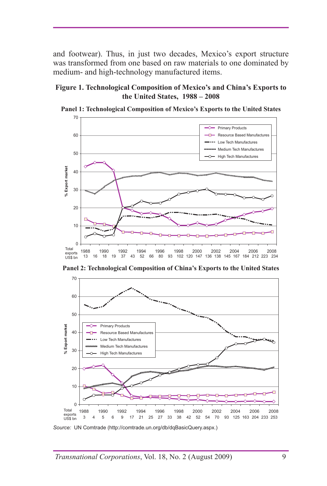and footwear). Thus, in just two decades, Mexico's export structure was transformed from one based on raw materials to one dominated by medium- and high-technology manufactured items.

#### **Figure 1. Technological Composition of Mexico's and China's Exports to the United States, 1988 – 2008**



**Panel 1: Technological Composition of Mexico's Exports to the United States**

**Panel 2: Technological Composition of China's Exports to the United States**



*Source:* UN Comtrade (http://comtrade.un.org/db/dqBasicQuery.aspx.)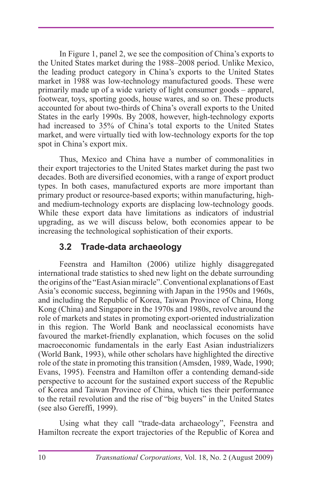In Figure 1, panel 2, we see the composition of China's exports to the United States market during the 1988–2008 period. Unlike Mexico, the leading product category in China's exports to the United States market in 1988 was low-technology manufactured goods. These were primarily made up of a wide variety of light consumer goods – apparel, footwear, toys, sporting goods, house wares, and so on. These products accounted for about two-thirds of China's overall exports to the United States in the early 1990s. By 2008, however, high-technology exports had increased to 35% of China's total exports to the United States market, and were virtually tied with low-technology exports for the top spot in China's export mix.

Thus, Mexico and China have a number of commonalities in their export trajectories to the United States market during the past two decades. Both are diversified economies, with a range of export product types. In both cases, manufactured exports are more important than primary product or resource-based exports; within manufacturing, highand medium-technology exports are displacing low-technology goods. While these export data have limitations as indicators of industrial upgrading, as we will discuss below, both economies appear to be increasing the technological sophistication of their exports.

### **3.2 Trade-data archaeology**

Feenstra and Hamilton (2006) utilize highly disaggregated international trade statistics to shed new light on the debate surrounding the origins of the "East Asian miracle". Conventional explanations of East Asia's economic success, beginning with Japan in the 1950s and 1960s, and including the Republic of Korea, Taiwan Province of China, Hong Kong (China) and Singapore in the 1970s and 1980s, revolve around the role of markets and states in promoting export-oriented industrialization in this region. The World Bank and neoclassical economists have favoured the market-friendly explanation, which focuses on the solid macroeconomic fundamentals in the early East Asian industrializers (World Bank, 1993), while other scholars have highlighted the directive role of the state in promoting this transition (Amsden, 1989, Wade, 1990; Evans, 1995). Feenstra and Hamilton offer a contending demand-side perspective to account for the sustained export success of the Republic of Korea and Taiwan Province of China, which ties their performance to the retail revolution and the rise of "big buyers" in the United States (see also Gereffi, 1999).

Using what they call "trade-data archaeology", Feenstra and Hamilton recreate the export trajectories of the Republic of Korea and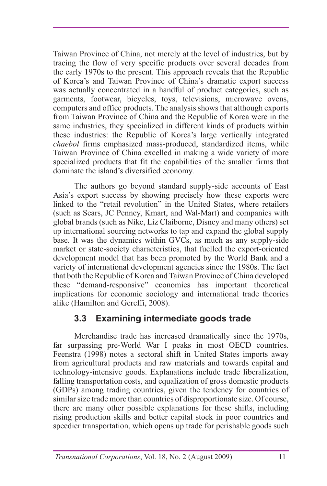Taiwan Province of China, not merely at the level of industries, but by tracing the flow of very specific products over several decades from the early 1970s to the present. This approach reveals that the Republic of Korea's and Taiwan Province of China's dramatic export success was actually concentrated in a handful of product categories, such as garments, footwear, bicycles, toys, televisions, microwave ovens, computers and office products. The analysis shows that although exports from Taiwan Province of China and the Republic of Korea were in the same industries, they specialized in different kinds of products within these industries: the Republic of Korea's large vertically integrated *chaebol* firms emphasized mass-produced, standardized items, while Taiwan Province of China excelled in making a wide variety of more specialized products that fit the capabilities of the smaller firms that dominate the island's diversified economy.

The authors go beyond standard supply-side accounts of East Asia's export success by showing precisely how these exports were linked to the "retail revolution" in the United States, where retailers (such as Sears, JC Penney, Kmart, and Wal-Mart) and companies with global brands (such as Nike, Liz Claiborne, Disney and many others) set up international sourcing networks to tap and expand the global supply base. It was the dynamics within GVCs, as much as any supply-side market or state-society characteristics, that fuelled the export-oriented development model that has been promoted by the World Bank and a variety of international development agencies since the 1980s. The fact that both the Republic of Korea and Taiwan Province of China developed these "demand-responsive" economies has important theoretical implications for economic sociology and international trade theories alike (Hamilton and Gereffi, 2008).

# **3.3 Examining intermediate goods trade**

Merchandise trade has increased dramatically since the 1970s, far surpassing pre-World War I peaks in most OECD countries. Feenstra (1998) notes a sectoral shift in United States imports away from agricultural products and raw materials and towards capital and technology-intensive goods. Explanations include trade liberalization, falling transportation costs, and equalization of gross domestic products (GDPs) among trading countries, given the tendency for countries of similar size trade more than countries of disproportionate size. Of course, there are many other possible explanations for these shifts, including rising production skills and better capital stock in poor countries and speedier transportation, which opens up trade for perishable goods such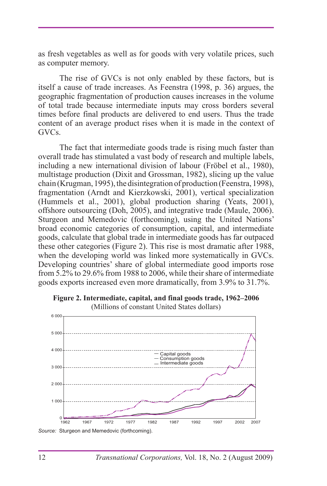as fresh vegetables as well as for goods with very volatile prices, such as computer memory.

The rise of GVCs is not only enabled by these factors, but is itself a cause of trade increases. As Feenstra (1998, p. 36) argues, the geographic fragmentation of production causes increases in the volume of total trade because intermediate inputs may cross borders several times before final products are delivered to end users. Thus the trade content of an average product rises when it is made in the context of GVCs.

The fact that intermediate goods trade is rising much faster than overall trade has stimulated a vast body of research and multiple labels, including a new international division of labour (Fröbel et al., 1980), multistage production (Dixit and Grossman, 1982), slicing up the value chain (Krugman, 1995), the disintegration of production (Feenstra, 1998), fragmentation (Arndt and Kierzkowski, 2001), vertical specialization (Hummels et al., 2001), global production sharing (Yeats, 2001), offshore outsourcing (Doh, 2005), and integrative trade (Maule, 2006). Sturgeon and Memedovic (forthcoming), using the United Nations' broad economic categories of consumption, capital, and intermediate goods, calculate that global trade in intermediate goods has far outpaced these other categories (Figure 2). This rise is most dramatic after 1988, when the developing world was linked more systematically in GVCs. Developing countries' share of global intermediate good imports rose from 5.2% to 29.6% from 1988 to 2006, while their share of intermediate goods exports increased even more dramatically, from 3.9% to 31.7%.



**Figure 2. Intermediate, capital, and final goods trade, 1962–2006**  (Millions of constant United States dollars)

*Source:* Sturgeon and Memedovic (forthcoming).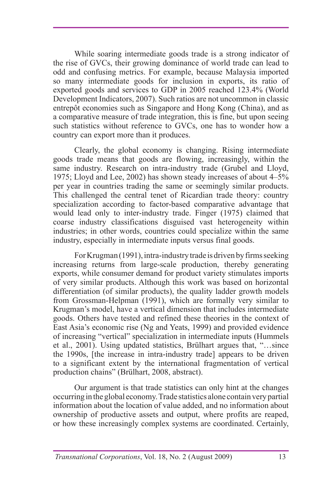While soaring intermediate goods trade is a strong indicator of the rise of GVCs, their growing dominance of world trade can lead to odd and confusing metrics. For example, because Malaysia imported so many intermediate goods for inclusion in exports, its ratio of exported goods and services to GDP in 2005 reached 123.4% (World Development Indicators, 2007). Such ratios are not uncommon in classic entrepôt economies such as Singapore and Hong Kong (China), and as a comparative measure of trade integration, this is fine, but upon seeing such statistics without reference to GVCs, one has to wonder how a country can export more than it produces.

Clearly, the global economy is changing. Rising intermediate goods trade means that goods are flowing, increasingly, within the same industry. Research on intra-industry trade (Grubel and Lloyd, 1975; Lloyd and Lee, 2002) has shown steady increases of about 4–5% per year in countries trading the same or seemingly similar products. This challenged the central tenet of Ricardian trade theory: country specialization according to factor-based comparative advantage that would lead only to inter-industry trade. Finger (1975) claimed that coarse industry classifications disguised vast heterogeneity within industries; in other words, countries could specialize within the same industry, especially in intermediate inputs versus final goods.

For Krugman (1991), intra-industry trade is driven by firms seeking increasing returns from large-scale production, thereby generating exports, while consumer demand for product variety stimulates imports of very similar products. Although this work was based on horizontal differentiation (of similar products), the quality ladder growth models from Grossman-Helpman (1991), which are formally very similar to Krugman's model, have a vertical dimension that includes intermediate goods. Others have tested and refined these theories in the context of East Asia's economic rise (Ng and Yeats, 1999) and provided evidence of increasing "vertical" specialization in intermediate inputs (Hummels et al., 2001). Using updated statistics, Brülhart argues that, "…since the 1990s, [the increase in intra-industry trade] appears to be driven to a significant extent by the international fragmentation of vertical production chains" (Brülhart, 2008, abstract).

Our argument is that trade statistics can only hint at the changes occurring in the global economy. Trade statistics alone contain very partial information about the location of value added, and no information about ownership of productive assets and output, where profits are reaped, or how these increasingly complex systems are coordinated. Certainly,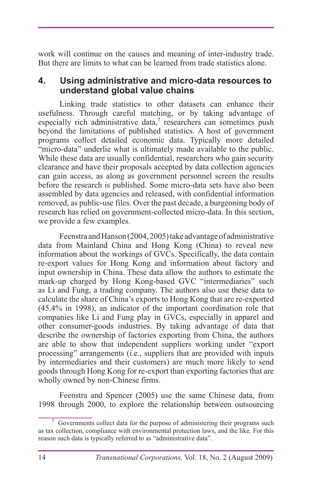work will continue on the causes and meaning of inter-industry trade. But there are limits to what can be learned from trade statistics alone.

### **4. Using administrative and micro-data resources to understand global value chains**

Linking trade statistics to other datasets can enhance their usefulness. Through careful matching, or by taking advantage of especially rich administrative data, $\theta$  researchers can sometimes push beyond the limitations of published statistics. A host of government programs collect detailed economic data. Typically more detailed "micro-data" underlie what is ultimately made available to the public. While these data are usually confidential, researchers who gain security clearance and have their proposals accepted by data collection agencies can gain access, as along as government personnel screen the results before the research is published. Some micro-data sets have also been assembled by data agencies and released, with confidential information removed, as public-use files. Over the past decade, a burgeoning body of research has relied on government-collected micro-data. In this section, we provide a few examples.

Feenstra and Hanson (2004, 2005) take advantage of administrative data from Mainland China and Hong Kong (China) to reveal new information about the workings of GVCs. Specifically, the data contain re-export values for Hong Kong and information about factory and input ownership in China. These data allow the authors to estimate the mark-up charged by Hong Kong-based GVC "intermediaries" such as Li and Fung, a trading company. The authors also use these data to calculate the share of China's exports to Hong Kong that are re-exported (45.4% in 1998), an indicator of the important coordination role that companies like Li and Fung play in GVCs, especially in apparel and other consumer-goods industries. By taking advantage of data that describe the ownership of factories exporting from China, the authors are able to show that independent suppliers working under "export processing" arrangements (i.e., suppliers that are provided with inputs by intermediaries and their customers) are much more likely to send goods through Hong Kong for re-export than exporting factories that are wholly owned by non-Chinese firms.

Feenstra and Spencer (2005) use the same Chinese data, from 1998 through 2000, to explore the relationship between outsourcing

<sup>7</sup> Governments collect data for the purpose of administering their programs such as tax collection, compliance with environmental protection laws, and the like. For this reason such data is typically referred to as "administrative data".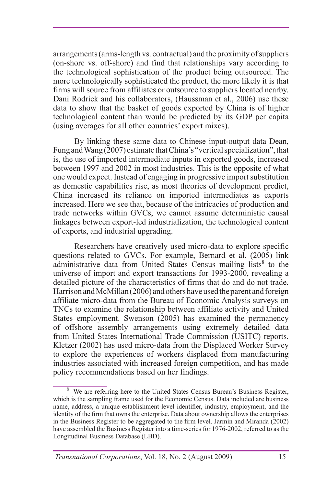arrangements (arms-length vs. contractual) and the proximity of suppliers (on-shore vs. off-shore) and find that relationships vary according to the technological sophistication of the product being outsourced. The more technologically sophisticated the product, the more likely it is that firms will source from affiliates or outsource to suppliers located nearby. Dani Rodrick and his collaborators, (Haussman et al., 2006) use these data to show that the basket of goods exported by China is of higher technological content than would be predicted by its GDP per capita (using averages for all other countries' export mixes).

By linking these same data to Chinese input-output data Dean, Fung and Wang (2007) estimate that China's "vertical specialization", that is, the use of imported intermediate inputs in exported goods, increased between 1997 and 2002 in most industries. This is the opposite of what one would expect. Instead of engaging in progressive import substitution as domestic capabilities rise, as most theories of development predict, China increased its reliance on imported intermediates as exports increased. Here we see that, because of the intricacies of production and trade networks within GVCs, we cannot assume deterministic causal linkages between export-led industrialization, the technological content of exports, and industrial upgrading.

Researchers have creatively used micro-data to explore specific questions related to GVCs. For example, Bernard et al. (2005) link administrative data from United States Census mailing lists<sup>8</sup> to the universe of import and export transactions for 1993-2000, revealing a detailed picture of the characteristics of firms that do and do not trade. Harrison and McMillan (2006) and others have used the parent and foreign affiliate micro-data from the Bureau of Economic Analysis surveys on TNCs to examine the relationship between affiliate activity and United States employment. Swenson (2005) has examined the permanency of offshore assembly arrangements using extremely detailed data from United States International Trade Commission (USITC) reports. Kletzer (2002) has used micro-data from the Displaced Worker Survey to explore the experiences of workers displaced from manufacturing industries associated with increased foreign competition, and has made policy recommendations based on her findings.

<sup>&</sup>lt;sup>8</sup> We are referring here to the United States Census Bureau's Business Register, which is the sampling frame used for the Economic Census. Data included are business name, address, a unique establishment-level identifier, industry, employment, and the identity of the firm that owns the enterprise. Data about ownership allows the enterprises in the Business Register to be aggregated to the firm level. Jarmin and Miranda (2002) have assembled the Business Register into a time-series for 1976-2002, referred to as the Longitudinal Business Database (LBD).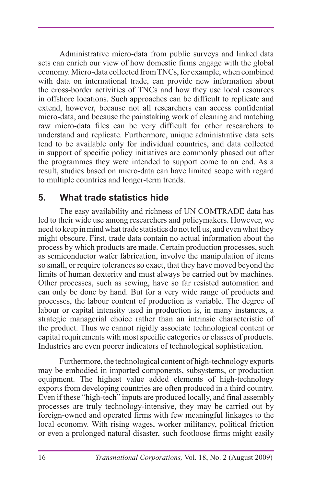Administrative micro-data from public surveys and linked data sets can enrich our view of how domestic firms engage with the global economy. Micro-data collected from TNCs, for example, when combined with data on international trade, can provide new information about the cross-border activities of TNCs and how they use local resources in offshore locations. Such approaches can be difficult to replicate and extend, however, because not all researchers can access confidential micro-data, and because the painstaking work of cleaning and matching raw micro-data files can be very difficult for other researchers to understand and replicate. Furthermore, unique administrative data sets tend to be available only for individual countries, and data collected in support of specific policy initiatives are commonly phased out after the programmes they were intended to support come to an end. As a result, studies based on micro-data can have limited scope with regard to multiple countries and longer-term trends.

### **5. What trade statistics hide**

The easy availability and richness of UN COMTRADE data has led to their wide use among researchers and policymakers. However, we need to keep in mind what trade statistics do not tell us, and even what they might obscure. First, trade data contain no actual information about the process by which products are made. Certain production processes, such as semiconductor wafer fabrication, involve the manipulation of items so small, or require tolerances so exact, that they have moved beyond the limits of human dexterity and must always be carried out by machines. Other processes, such as sewing, have so far resisted automation and can only be done by hand. But for a very wide range of products and processes, the labour content of production is variable. The degree of labour or capital intensity used in production is, in many instances, a strategic managerial choice rather than an intrinsic characteristic of the product. Thus we cannot rigidly associate technological content or capital requirements with most specific categories or classes of products. Industries are even poorer indicators of technological sophistication.

Furthermore, the technological content of high-technology exports may be embodied in imported components, subsystems, or production equipment. The highest value added elements of high-technology exports from developing countries are often produced in a third country. Even if these "high-tech" inputs are produced locally, and final assembly processes are truly technology-intensive, they may be carried out by foreign-owned and operated firms with few meaningful linkages to the local economy. With rising wages, worker militancy, political friction or even a prolonged natural disaster, such footloose firms might easily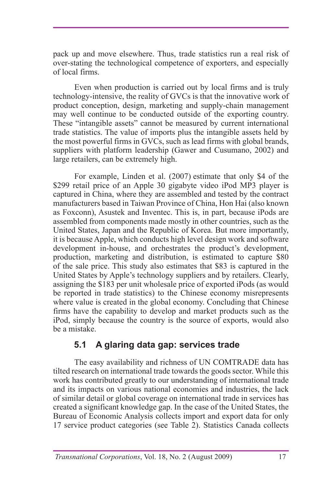pack up and move elsewhere. Thus, trade statistics run a real risk of over-stating the technological competence of exporters, and especially of local firms.

Even when production is carried out by local firms and is truly technology-intensive, the reality of GVCs is that the innovative work of product conception, design, marketing and supply-chain management may well continue to be conducted outside of the exporting country. These "intangible assets" cannot be measured by current international trade statistics. The value of imports plus the intangible assets held by the most powerful firms in GVCs, such as lead firms with global brands, suppliers with platform leadership (Gawer and Cusumano, 2002) and large retailers, can be extremely high.

For example, Linden et al. (2007) estimate that only \$4 of the \$299 retail price of an Apple 30 gigabyte video iPod MP3 player is captured in China, where they are assembled and tested by the contract manufacturers based in Taiwan Province of China, Hon Hai (also known as Foxconn), Asustek and Inventec. This is, in part, because iPods are assembled from components made mostly in other countries, such as the United States, Japan and the Republic of Korea. But more importantly, it is because Apple, which conducts high level design work and software development in-house, and orchestrates the product's development, production, marketing and distribution, is estimated to capture \$80 of the sale price. This study also estimates that \$83 is captured in the United States by Apple's technology suppliers and by retailers. Clearly, assigning the \$183 per unit wholesale price of exported iPods (as would be reported in trade statistics) to the Chinese economy misrepresents where value is created in the global economy. Concluding that Chinese firms have the capability to develop and market products such as the iPod, simply because the country is the source of exports, would also be a mistake.

# **5.1 A glaring data gap: services trade**

The easy availability and richness of UN COMTRADE data has tilted research on international trade towards the goods sector. While this work has contributed greatly to our understanding of international trade and its impacts on various national economies and industries, the lack of similar detail or global coverage on international trade in services has created a significant knowledge gap. In the case of the United States, the Bureau of Economic Analysis collects import and export data for only 17 service product categories (see Table 2). Statistics Canada collects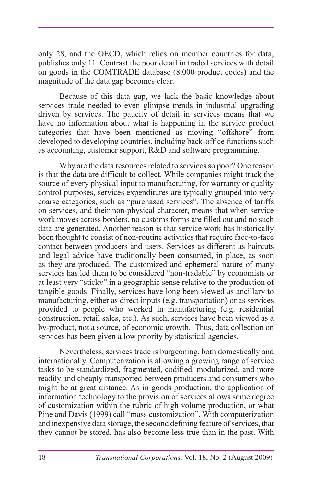only 28, and the OECD, which relies on member countries for data, publishes only 11. Contrast the poor detail in traded services with detail on goods in the COMTRADE database (8,000 product codes) and the magnitude of the data gap becomes clear.

Because of this data gap, we lack the basic knowledge about services trade needed to even glimpse trends in industrial upgrading driven by services. The paucity of detail in services means that we have no information about what is happening in the service product categories that have been mentioned as moving "offshore" from developed to developing countries, including back-office functions such as accounting, customer support, R&D and software programming.

Why are the data resources related to services so poor? One reason is that the data are difficult to collect. While companies might track the source of every physical input to manufacturing, for warranty or quality control purposes, services expenditures are typically grouped into very coarse categories, such as "purchased services". The absence of tariffs on services, and their non-physical character, means that when service work moves across borders, no customs forms are filled out and no such data are generated. Another reason is that service work has historically been thought to consist of non-routine activities that require face-to-face contact between producers and users. Services as different as haircuts and legal advice have traditionally been consumed, in place, as soon as they are produced. The customized and ephemeral nature of many services has led them to be considered "non-tradable" by economists or at least very "sticky" in a geographic sense relative to the production of tangible goods. Finally, services have long been viewed as ancillary to manufacturing, either as direct inputs (e.g. transportation) or as services provided to people who worked in manufacturing (e.g. residential construction, retail sales, etc.). As such, services have been viewed as a by-product, not a source, of economic growth. Thus, data collection on services has been given a low priority by statistical agencies.

Nevertheless, services trade is burgeoning, both domestically and internationally. Computerization is allowing a growing range of service tasks to be standardized, fragmented, codified, modularized, and more readily and cheaply transported between producers and consumers who might be at great distance. As in goods production, the application of information technology to the provision of services allows some degree of customization within the rubric of high volume production, or what Pine and Davis (1999) call "mass customization". With computerization and inexpensive data storage, the second defining feature of services, that they cannot be stored, has also become less true than in the past. With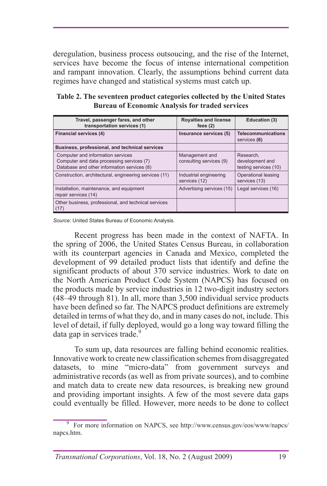deregulation, business process outsoucing, and the rise of the Internet, services have become the focus of intense international competition and rampant innovation. Clearly, the assumptions behind current data regimes have changed and statistical systems must catch up.

| Travel, passenger fares, and other<br>transportation services (1)                                                             | <b>Royalties and license</b><br>fees $(2)$ | Education (3)                                         |
|-------------------------------------------------------------------------------------------------------------------------------|--------------------------------------------|-------------------------------------------------------|
| Financial services (4)                                                                                                        | Insurance services (5)                     | <b>Telecommunications</b><br>services (6)             |
| Business, professional, and technical services                                                                                |                                            |                                                       |
| Computer and information services<br>Computer and data processing services (7)<br>Database and other information services (8) | Management and<br>consulting services (9)  | Research.<br>development and<br>testing services (10) |
| Construction, architectural, engineering services (11)                                                                        | Industrial engineering<br>services (12)    | Operational leasing<br>services (13)                  |
| Installation, maintenance, and equipment<br>repair services (14)                                                              | Advertising services (15)                  | Legal services (16)                                   |
| Other business, professional, and technical services<br>(17)                                                                  |                                            |                                                       |

**Table 2. The seventeen product categories collected by the United States Bureau of Economic Analysis for traded services**

*Source:* United States Bureau of Economic Analysis.

Recent progress has been made in the context of NAFTA. In the spring of 2006, the United States Census Bureau, in collaboration with its counterpart agencies in Canada and Mexico, completed the development of 99 detailed product lists that identify and define the significant products of about 370 service industries. Work to date on the North American Product Code System (NAPCS) has focused on the products made by service industries in 12 two-digit industry sectors (48–49 through 81). In all, more than 3,500 individual service products have been defined so far. The NAPCS product definitions are extremely detailed in terms of what they do, and in many cases do not, include. This level of detail, if fully deployed, would go a long way toward filling the data gap in services trade.<sup>9</sup>

To sum up, data resources are falling behind economic realities. Innovative work to create new classification schemes from disaggregated datasets, to mine "micro-data" from government surveys and administrative records (as well as from private sources), and to combine and match data to create new data resources, is breaking new ground and providing important insights. A few of the most severe data gaps could eventually be filled. However, more needs to be done to collect

<sup>&</sup>lt;sup>9</sup> For more information on NAPCS, see http://www.census.gov/eos/www/napcs/ napcs.htm.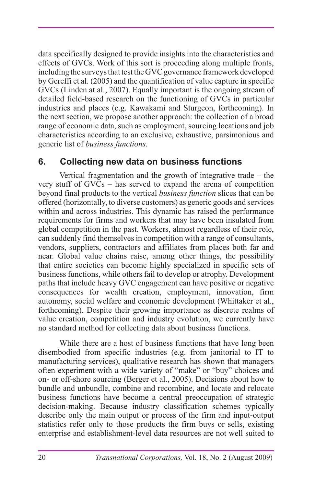data specifically designed to provide insights into the characteristics and effects of GVCs. Work of this sort is proceeding along multiple fronts, including the surveys that test the GVC governance framework developed by Gereffi et al. (2005) and the quantification of value capture in specific GVCs (Linden at al., 2007). Equally important is the ongoing stream of detailed field-based research on the functioning of GVCs in particular industries and places (e.g. Kawakami and Sturgeon, forthcoming). In the next section, we propose another approach: the collection of a broad range of economic data, such as employment, sourcing locations and job characteristics according to an exclusive, exhaustive, parsimonious and generic list of *business functions*.

## **6. Collecting new data on business functions**

Vertical fragmentation and the growth of integrative trade – the very stuff of GVCs – has served to expand the arena of competition beyond final products to the vertical *business function* slices that can be offered (horizontally, to diverse customers) as generic goods and services within and across industries. This dynamic has raised the performance requirements for firms and workers that may have been insulated from global competition in the past. Workers, almost regardless of their role, can suddenly find themselves in competition with a range of consultants, vendors, suppliers, contractors and affiliates from places both far and near. Global value chains raise, among other things, the possibility that entire societies can become highly specialized in specific sets of business functions, while others fail to develop or atrophy. Development paths that include heavy GVC engagement can have positive or negative consequences for wealth creation, employment, innovation, firm autonomy, social welfare and economic development (Whittaker et al., forthcoming). Despite their growing importance as discrete realms of value creation, competition and industry evolution, we currently have no standard method for collecting data about business functions.

While there are a host of business functions that have long been disembodied from specific industries (e.g. from janitorial to IT to manufacturing services), qualitative research has shown that managers often experiment with a wide variety of "make" or "buy" choices and on- or off-shore sourcing (Berger et al., 2005). Decisions about how to bundle and unbundle, combine and recombine, and locate and relocate business functions have become a central preoccupation of strategic decision-making. Because industry classification schemes typically describe only the main output or process of the firm and input-output statistics refer only to those products the firm buys or sells, existing enterprise and establishment-level data resources are not well suited to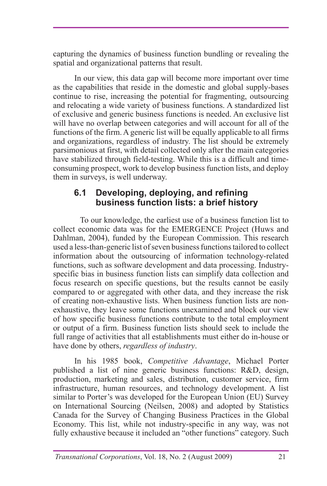capturing the dynamics of business function bundling or revealing the spatial and organizational patterns that result.

In our view, this data gap will become more important over time as the capabilities that reside in the domestic and global supply-bases continue to rise, increasing the potential for fragmenting, outsourcing and relocating a wide variety of business functions. A standardized list of exclusive and generic business functions is needed. An exclusive list will have no overlap between categories and will account for all of the functions of the firm. A generic list will be equally applicable to all firms and organizations, regardless of industry. The list should be extremely parsimonious at first, with detail collected only after the main categories have stabilized through field-testing. While this is a difficult and timeconsuming prospect, work to develop business function lists, and deploy them in surveys, is well underway.

#### **6.1 Developing, deploying, and refining business function lists: a brief history**

To our knowledge, the earliest use of a business function list to collect economic data was for the EMERGENCE Project (Huws and Dahlman, 2004), funded by the European Commission. This research used a less-than-generic list of seven business functions tailored to collect information about the outsourcing of information technology-related functions, such as software development and data processing. Industryspecific bias in business function lists can simplify data collection and focus research on specific questions, but the results cannot be easily compared to or aggregated with other data, and they increase the risk of creating non-exhaustive lists. When business function lists are nonexhaustive, they leave some functions unexamined and block our view of how specific business functions contribute to the total employment or output of a firm. Business function lists should seek to include the full range of activities that all establishments must either do in-house or have done by others, *regardless of industry*.

In his 1985 book, *Competitive Advantage*, Michael Porter published a list of nine generic business functions: R&D, design, production, marketing and sales, distribution, customer service, firm infrastructure, human resources, and technology development. A list similar to Porter's was developed for the European Union (EU) Survey on International Sourcing (Neilsen, 2008) and adopted by Statistics Canada for the Survey of Changing Business Practices in the Global Economy. This list, while not industry-specific in any way, was not fully exhaustive because it included an "other functions" category. Such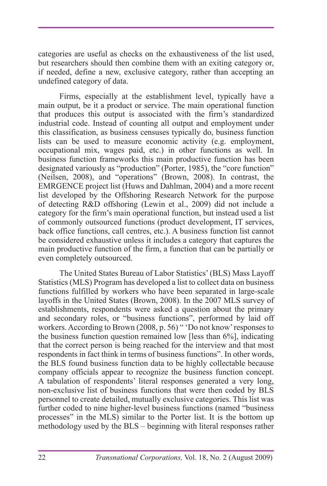categories are useful as checks on the exhaustiveness of the list used, but researchers should then combine them with an exiting category or, if needed, define a new, exclusive category, rather than accepting an undefined category of data.

Firms, especially at the establishment level, typically have a main output, be it a product or service. The main operational function that produces this output is associated with the firm's standardized industrial code. Instead of counting all output and employment under this classification, as business censuses typically do, business function lists can be used to measure economic activity (e.g. employment, occupational mix, wages paid, etc.) in other functions as well. In business function frameworks this main productive function has been designated variously as "production" (Porter, 1985), the "core function" (Neilsen, 2008), and "operations" (Brown, 2008). In contrast, the EMRGENCE project list (Huws and Dahlman, 2004) and a more recent list developed by the Offshoring Research Network for the purpose of detecting R&D offshoring (Lewin et al., 2009) did not include a category for the firm's main operational function, but instead used a list of commonly outsourced functions (product development, IT services, back office functions, call centres, etc.). A business function list cannot be considered exhaustive unless it includes a category that captures the main productive function of the firm, a function that can be partially or even completely outsourced.

The United States Bureau of Labor Statistics' (BLS) Mass Layoff Statistics (MLS) Program has developed a list to collect data on business functions fulfilled by workers who have been separated in large-scale layoffs in the United States (Brown, 2008). In the 2007 MLS survey of establishments, respondents were asked a question about the primary and secondary roles, or "business functions", performed by laid off workers. According to Brown (2008, p. 56) " 'Do not know' responses to the business function question remained low [less than 6%], indicating that the correct person is being reached for the interview and that most respondents in fact think in terms of business functions". In other words, the BLS found business function data to be highly collectable because company officials appear to recognize the business function concept. A tabulation of respondents' literal responses generated a very long, non-exclusive list of business functions that were then coded by BLS personnel to create detailed, mutually exclusive categories. This list was further coded to nine higher-level business functions (named "business processes" in the MLS) similar to the Porter list. It is the bottom up methodology used by the BLS – beginning with literal responses rather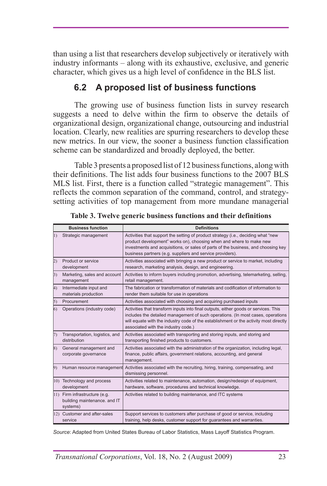than using a list that researchers develop subjectively or iteratively with industry informants – along with its exhaustive, exclusive, and generic character, which gives us a high level of confidence in the BLS list.

# **6.2 A proposed list of business functions**

The growing use of business function lists in survey research suggests a need to delve within the firm to observe the details of organizational design, organizational change, outsourcing and industrial location. Clearly, new realities are spurring researchers to develop these new metrics. In our view, the sooner a business function classification scheme can be standardized and broadly deployed, the better.

Table 3 presents a proposed list of 12 business functions, along with their definitions. The list adds four business functions to the 2007 BLS MLS list. First, there is a function called "strategic management". This reflects the common separation of the command, control, and strategysetting activities of top management from more mundane managerial

| <b>Business function</b> |                                                                           | <b>Definitions</b>                                                                                                                                                                                                                                                                                         |  |  |  |
|--------------------------|---------------------------------------------------------------------------|------------------------------------------------------------------------------------------------------------------------------------------------------------------------------------------------------------------------------------------------------------------------------------------------------------|--|--|--|
| 1)                       | Strategic management                                                      | Activities that support the setting of product strategy (i.e., deciding what "new<br>product development" works on), choosing when and where to make new<br>investments and acquisitions, or sales of parts of the business, and choosing key<br>business partners (e.g. suppliers and service providers). |  |  |  |
| 2)                       | Product or service<br>development                                         | Activities associated with bringing a new product or service to market, including<br>research, marketing analysis, design, and engineering.                                                                                                                                                                |  |  |  |
| 3)                       | Marketing, sales and account<br>management                                | Activities to inform buyers including promotion, advertising, telemarketing, selling,<br>retail management.                                                                                                                                                                                                |  |  |  |
| 4)                       | Intermediate input and<br>materials production                            | The fabrication or transformation of materials and codification of information to<br>render them suitable for use in operations                                                                                                                                                                            |  |  |  |
| $\vert$ 5)               | Procurement                                                               | Activities associated with choosing and acquiring purchased inputs                                                                                                                                                                                                                                         |  |  |  |
| (6)                      | Operations (industry code)                                                | Activities that transform inputs into final outputs, either goods or services. This<br>includes the detailed management of such operations. (In most cases, operations<br>will equate with the industry code of the establishment or the activity most directly<br>associated with the industry code.)     |  |  |  |
| 7)                       | Transportation, logistics, and<br>distribution                            | Activities associated with transporting and storing inputs, and storing and<br>transporting finished products to customers.                                                                                                                                                                                |  |  |  |
| 8)                       | General management and<br>corporate governance                            | Activities associated with the administration of the organization, including legal,<br>finance, public affairs, government relations, accounting, and general<br>management.                                                                                                                               |  |  |  |
| 9)                       | Human resource management                                                 | Activities associated with the recruiting, hiring, training, compensating, and<br>dismissing personnel.                                                                                                                                                                                                    |  |  |  |
|                          | 10) Technology and process<br>development                                 | Activities related to maintenance, automation, design/redesign of equipment,<br>hardware, software, procedures and technical knowledge.                                                                                                                                                                    |  |  |  |
|                          | 11) Firm infrastructure (e.g.<br>building maintenance. and IT<br>systems) | Activities related to building maintenance, and ITC systems                                                                                                                                                                                                                                                |  |  |  |
|                          | 12) Customer and after-sales<br>service                                   | Support services to customers after purchase of good or service, including<br>training, help desks, customer support for quarantees and warranties.                                                                                                                                                        |  |  |  |

**Table 3. Twelve generic business functions and their definitions**

*Source*: Adapted from United States Bureau of Labor Statistics, Mass Layoff Statistics Program.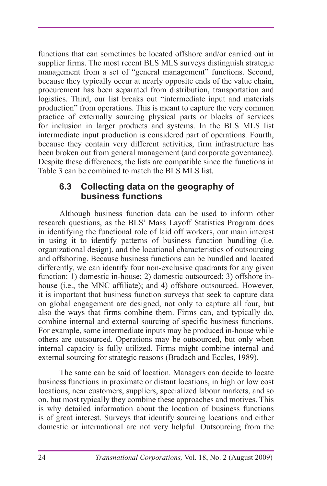functions that can sometimes be located offshore and/or carried out in supplier firms. The most recent BLS MLS surveys distinguish strategic management from a set of "general management" functions. Second, because they typically occur at nearly opposite ends of the value chain, procurement has been separated from distribution, transportation and logistics. Third, our list breaks out "intermediate input and materials production" from operations. This is meant to capture the very common practice of externally sourcing physical parts or blocks of services for inclusion in larger products and systems. In the BLS MLS list intermediate input production is considered part of operations. Fourth, because they contain very different activities, firm infrastructure has been broken out from general management (and corporate governance). Despite these differences, the lists are compatible since the functions in Table 3 can be combined to match the BLS MLS list.

#### **6.3 Collecting data on the geography of business functions**

Although business function data can be used to inform other research questions, as the BLS' Mass Layoff Statistics Program does in identifying the functional role of laid off workers, our main interest in using it to identify patterns of business function bundling (i.e. organizational design), and the locational characteristics of outsourcing and offshoring. Because business functions can be bundled and located differently, we can identify four non-exclusive quadrants for any given function: 1) domestic in-house; 2) domestic outsourced; 3) offshore inhouse (i.e., the MNC affiliate); and 4) offshore outsourced. However, it is important that business function surveys that seek to capture data on global engagement are designed, not only to capture all four, but also the ways that firms combine them. Firms can, and typically do, combine internal and external sourcing of specific business functions. For example, some intermediate inputs may be produced in-house while others are outsourced. Operations may be outsourced, but only when internal capacity is fully utilized. Firms might combine internal and external sourcing for strategic reasons (Bradach and Eccles, 1989).

The same can be said of location. Managers can decide to locate business functions in proximate or distant locations, in high or low cost locations, near customers, suppliers, specialized labour markets, and so on, but most typically they combine these approaches and motives. This is why detailed information about the location of business functions is of great interest. Surveys that identify sourcing locations and either domestic or international are not very helpful. Outsourcing from the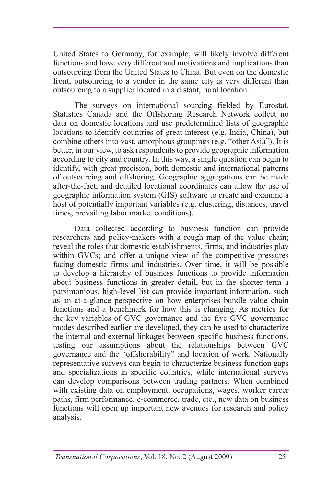United States to Germany, for example, will likely involve different functions and have very different and motivations and implications than outsourcing from the United States to China. But even on the domestic front, outsourcing to a vendor in the same city is very different than outsourcing to a supplier located in a distant, rural location.

The surveys on international sourcing fielded by Eurostat, Statistics Canada and the Offshoring Research Network collect no data on domestic locations and use predetermined lists of geographic locations to identify countries of great interest (e.g. India, China), but combine others into vast, amorphous groupings (e.g. "other Asia"). It is better, in our view, to ask respondents to provide geographic information according to city and country. In this way, a single question can begin to identify, with great precision, both domestic and international patterns of outsourcing and offshoring. Geographic aggregations can be made after-the-fact, and detailed locational coordinates can allow the use of geographic information system (GIS) software to create and examine a host of potentially important variables (e.g. clustering, distances, travel times, prevailing labor market conditions).

Data collected according to business function can provide researchers and policy-makers with a rough map of the value chain; reveal the roles that domestic establishments, firms, and industries play within GVCs; and offer a unique view of the competitive pressures facing domestic firms and industries. Over time, it will be possible to develop a hierarchy of business functions to provide information about business functions in greater detail, but in the shorter term a parsimonious, high-level list can provide important information, such as an at-a-glance perspective on how enterprises bundle value chain functions and a benchmark for how this is changing. As metrics for the key variables of GVC governance and the five GVC governance modes described earlier are developed, they can be used to characterize the internal and external linkages between specific business functions, testing our assumptions about the relationships between GVC governance and the "offshorability" and location of work. Nationally representative surveys can begin to characterize business function gaps and specializations in specific countries, while international surveys can develop comparisons between trading partners. When combined with existing data on employment, occupations, wages, worker career paths, firm performance, e-commerce, trade, etc., new data on business functions will open up important new avenues for research and policy analysis.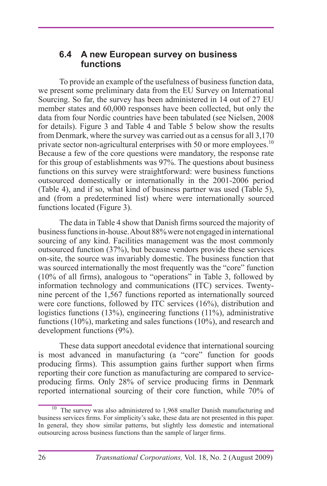### **6.4 A new European survey on business functions**

To provide an example of the usefulness of business function data, we present some preliminary data from the EU Survey on International Sourcing. So far, the survey has been administered in 14 out of 27 EU member states and 60,000 responses have been collected, but only the data from four Nordic countries have been tabulated (see Nielsen, 2008 for details). Figure 3 and Table 4 and Table 5 below show the results from Denmark, where the survey was carried out as a census for all 3,170 private sector non-agricultural enterprises with 50 or more employees.<sup>10</sup> Because a few of the core questions were mandatory, the response rate for this group of establishments was 97%. The questions about business functions on this survey were straightforward: were business functions outsourced domestically or internationally in the 2001-2006 period (Table 4), and if so, what kind of business partner was used (Table 5), and (from a predetermined list) where were internationally sourced functions located (Figure 3).

The data in Table 4 show that Danish firms sourced the majority of business functions in-house. About 88% were not engaged in international sourcing of any kind. Facilities management was the most commonly outsourced function (37%), but because vendors provide these services on-site, the source was invariably domestic. The business function that was sourced internationally the most frequently was the "core" function (10% of all firms), analogous to "operations" in Table 3, followed by information technology and communications (ITC) services. Twentynine percent of the 1,567 functions reported as internationally sourced were core functions, followed by ITC services (16%), distribution and logistics functions (13%), engineering functions (11%), administrative functions (10%), marketing and sales functions (10%), and research and development functions (9%).

These data support anecdotal evidence that international sourcing is most advanced in manufacturing (a "core" function for goods producing firms). This assumption gains further support when firms reporting their core function as manufacturing are compared to serviceproducing firms. Only 28% of service producing firms in Denmark reported international sourcing of their core function, while 70% of

 $10$  The survey was also administered to 1,968 smaller Danish manufacturing and business services firms. For simplicity's sake, these data are not presented in this paper. In general, they show similar patterns, but slightly less domestic and international outsourcing across business functions than the sample of larger firms.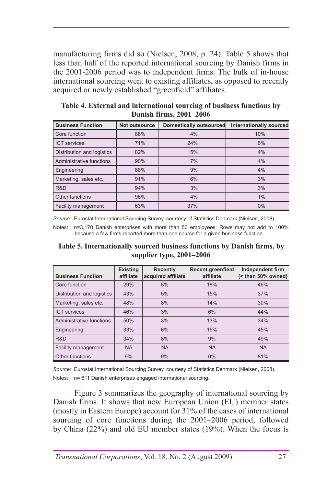manufacturing firms did so (Nielsen, 2008, p. 24). Table 5 shows that less than half of the reported international sourcing by Danish firms in the 2001-2006 period was to independent firms. The bulk of in-house international sourcing went to existing affiliates, as opposed to recently acquired or newly established "greenfield" affiliates.

| <b>Business Function</b>   | Not outsource | Domestically outsourced | <b>Internationally sourced</b> |
|----------------------------|---------------|-------------------------|--------------------------------|
| Core function              | 88%           | 4%                      | 10%                            |
| <b>ICT</b> services        | 71%           | 24%                     | 6%                             |
| Distribution and logistics | 82%           | 15%                     | 4%                             |
| Administrative functions   | 90%           | 7%                      | 4%                             |
| Engineering                | 88%           | 9%                      | 4%                             |
| Marketing, sales etc.      | 91%           | 6%                      | 3%                             |
| R&D                        | 94%           | 3%                      | 3%                             |
| Other functions            | 96%           | 4%                      | 1%                             |
| Facility management        | 63%           | 37%                     | 0%                             |

**Table 4. External and international sourcing of business functions by Danish firms, 2001–2006**

*Source:* Eurostat International Sourcing Survey, courtesy of Statistics Denmark (Nielsen, 2008).

Notes: n=3,170 Danish enterprises with more than 50 employees. Rows may not add to 100% because a few firms reported more than one source for a given business function.

**Table 5. Internationally sourced business functions by Danish firms, by supplier type, 2001–2006**

| <b>Business Function</b>   | <b>Existing</b><br>affiliate | <b>Recently</b><br>acquired affiliate | <b>Recent greenfield</b><br>affiliate | Independent firm<br>(< than 50% owned) |
|----------------------------|------------------------------|---------------------------------------|---------------------------------------|----------------------------------------|
| Core function              | 29%                          | 8%                                    | 18%                                   | 46%                                    |
| Distribution and logistics | 43%                          | 5%                                    | 15%                                   | 37%                                    |
| Marketing, sales etc.      | 48%                          | 8%                                    | 14%                                   | 30%                                    |
| <b>ICT</b> services        | 46%                          | 3%                                    | 6%                                    | 44%                                    |
| Administrative functions   | 50%                          | 3%                                    | 13%                                   | 34%                                    |
| Engineering                | 33%                          | 6%                                    | 16%                                   | 45%                                    |
| R&D                        | 34%                          | 8%                                    | 9%                                    | 49%                                    |
| Facility management        | <b>NA</b>                    | <b>NA</b>                             | <b>NA</b>                             | <b>NA</b>                              |
| Other functions            | 9%                           | 9%                                    | 0%                                    | 81%                                    |

*Source:* Eurostat International Sourcing Survey, courtesy of Statistics Denmark (Nielsen, 2008). Notes: n= 611 Danish enterprises engaged international sourcing.

Figure 3 summarizes the geography of international sourcing by Danish firms. It shows that new European Union (EU) member states (mostly in Eastern Europe) account for 31% of the cases of international sourcing of core functions during the 2001–2006 period, followed by China (22%) and old EU member states (19%). When the focus is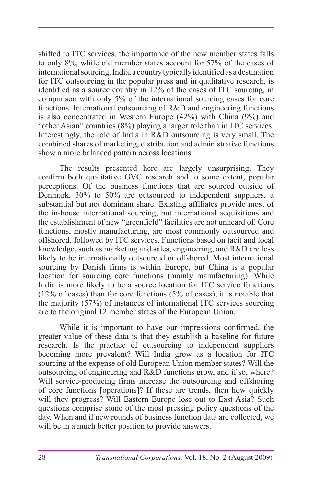shifted to ITC services, the importance of the new member states falls to only 8%, while old member states account for 57% of the cases of international sourcing. India, a country typically identified as a destination for ITC outsourcing in the popular press and in qualitative research, is identified as a source country in 12% of the cases of ITC sourcing, in comparison with only 5% of the international sourcing cases for core functions. International outsourcing of R&D and engineering functions is also concentrated in Western Europe (42%) with China (9%) and "other Asian" countries (8%) playing a larger role than in ITC services. Interestingly, the role of India in R&D outsourcing is very small. The combined shares of marketing, distribution and administrative functions show a more balanced pattern across locations.

The results presented here are largely unsurprising. They confirm both qualitative GVC research and to some extent, popular perceptions. Of the business functions that are sourced outside of Denmark, 30% to 50% are outsourced to independent suppliers, a substantial but not dominant share. Existing affiliates provide most of the in-house international sourcing, but international acquisitions and the establishment of new "greenfield" facilities are not unheard of. Core functions, mostly manufacturing, are most commonly outsourced and offshored, followed by ITC services. Functions based on tacit and local knowledge, such as marketing and sales, engineering, and R&D are less likely to be internationally outsourced or offshored. Most international sourcing by Danish firms is within Europe, but China is a popular location for sourcing core functions (mainly manufacturing). While India is more likely to be a source location for ITC service functions (12% of cases) than for core functions (5% of cases), it is notable that the majority (57%) of instances of international ITC services sourcing are to the original 12 member states of the European Union.

While it is important to have our impressions confirmed, the greater value of these data is that they establish a baseline for future research. Is the practice of outsourcing to independent suppliers becoming more prevalent? Will India grow as a location for ITC sourcing at the expense of old European Union member states? Will the outsourcing of engineering and  $R&D$  functions grow, and if so, where? Will service-producing firms increase the outsourcing and offshoring of core functions [operations]? If these are trends, then how quickly will they progress? Will Eastern Europe lose out to East Asia? Such questions comprise some of the most pressing policy questions of the day. When and if new rounds of business function data are collected, we will be in a much better position to provide answers.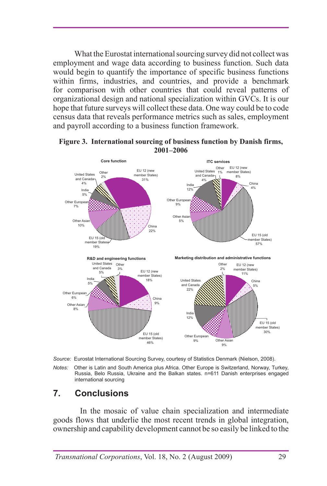What the Eurostat international sourcing survey did not collect was employment and wage data according to business function. Such data would begin to quantify the importance of specific business functions within firms, industries, and countries, and provide a benchmark for comparison with other countries that could reveal patterns of organizational design and national specialization within GVCs. It is our hope that future surveys will collect these data. One way could be to code census data that reveals performance metrics such as sales, employment and payroll according to a business function framework.



#### **Figure 3. International sourcing of business function by Danish firms, 2001–2006**



*Notes:* Other is Latin and South America plus Africa. Other Europe is Switzerland, Norway, Turkey, Russia, Belo Russia, Ukraine and the Balkan states. n=611 Danish enterprises engaged international sourcing

# **7. Conclusions**

In the mosaic of value chain specialization and intermediate goods flows that underlie the most recent trends in global integration, ownership and capability development cannot be so easily be linked to the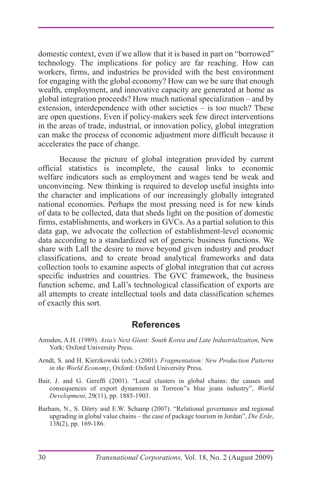domestic context, even if we allow that it is based in part on "borrowed" technology. The implications for policy are far reaching. How can workers, firms, and industries be provided with the best environment for engaging with the global economy? How can we be sure that enough wealth, employment, and innovative capacity are generated at home as global integration proceeds? How much national specialization – and by extension, interdependence with other societies – is too much? These are open questions. Even if policy-makers seek few direct interventions in the areas of trade, industrial, or innovation policy, global integration can make the process of economic adjustment more difficult because it accelerates the pace of change.

Because the picture of global integration provided by current official statistics is incomplete, the causal links to economic welfare indicators such as employment and wages tend be weak and unconvincing. New thinking is required to develop useful insights into the character and implications of our increasingly globally integrated national economies. Perhaps the most pressing need is for new kinds of data to be collected, data that sheds light on the position of domestic firms, establishments, and workers in GVCs. As a partial solution to this data gap, we advocate the collection of establishment-level economic data according to a standardized set of generic business functions. We share with Lall the desire to move beyond given industry and product classifications, and to create broad analytical frameworks and data collection tools to examine aspects of global integration that cut across specific industries and countries. The GVC framework, the business function scheme, and Lall's technological classification of exports are all attempts to create intellectual tools and data classification schemes of exactly this sort.

#### **References**

- Amsden, A.H. (1989). *Asia's Next Giant: South Korea and Late Industrialization*, New York: Oxford University Press.
- Arndt, S. and H. Kierzkowski (eds.) (2001). *Fragmentation: New Production Patterns in the World Economy*, Oxford: Oxford University Press.
- Bair, J. and G. Gereffi (2001). "Local clusters in global chains: the causes and consequences of export dynamism in Torreon''s blue jeans industry", *World Development*, 29(11), pp. 1885-1903.
- Barham, N., S. Dörry and E.W. Schamp (2007). "Relational governance and regional upgrading in global value chains – the case of package tourism in Jordan", *Die Erde*, 138(2), pp. 169-186.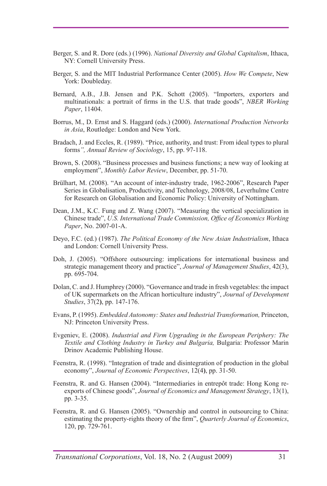- Berger, S. and R. Dore (eds.) (1996). *National Diversity and Global Capitalism*, Ithaca, NY: Cornell University Press.
- Berger, S. and the MIT Industrial Performance Center (2005). *How We Compete*, New York: Doubleday.
- Bernard, A.B., J.B. Jensen and P.K. Schott (2005). "Importers, exporters and multinationals: a portrait of firms in the U.S. that trade goods", *NBER Working Paper*, 11404.
- Borrus, M., D. Ernst and S. Haggard (eds.) (2000). *International Production Networks in Asia*, Routledge: London and New York.
- Bradach, J. and Eccles, R. (1989). "Price, authority, and trust: From ideal types to plural forms*", Annual Review of Sociology*, 15, pp. 97-118.
- Brown, S. (2008). "Business processes and business functions; a new way of looking at employment", *Monthly Labor Review*, December, pp. 51-70.
- Brülhart, M. (2008). "An account of inter-industry trade, 1962-2006", Research Paper Series in Globalisation, Productivity, and Technology, 2008/08, Leverhulme Centre for Research on Globalisation and Economic Policy: University of Nottingham.
- Dean, J.M., K.C. Fung and Z. Wang (2007). "Measuring the vertical specialization in Chinese trade", *U.S. International Trade Commission, Office of Economics Working Paper*, No. 2007-01-A.
- Deyo, F.C. (ed.) (1987). *The Political Economy of the New Asian Industrialism*, Ithaca and London: Cornell University Press.
- Doh, J. (2005). "Offshore outsourcing: implications for international business and strategic management theory and practice", *Journal of Management Studies*, 42(3), pp. 695-704.
- Dolan, C. and J. Humphrey (2000). "Governance and trade in fresh vegetables: the impact of UK supermarkets on the African horticulture industry", *Journal of Development Studies*, 37(2**)**, pp. 147-176.
- Evans, P. (1995). *Embedded Autonomy: States and Industrial Transformation,* Princeton, NJ: Princeton University Press.
- Evgeniev, E. (2008). *Industrial and Firm Upgrading in the European Periphery: The Textile and Clothing Industry in Turkey and Bulgaria,* Bulgaria: Professor Marin Drinov Academic Publishing House.
- Feenstra, R. (1998). "Integration of trade and disintegration of production in the global economy", *Journal of Economic Perspectives*, 12(4**)**, pp. 31-50.
- Feenstra, R. and G. Hansen (2004). "Intermediaries in entrepôt trade: Hong Kong reexports of Chinese goods", *Journal of Economics and Management Strategy*, 13(1), pp. 3-35.
- Feenstra, R. and G. Hansen (2005). "Ownership and control in outsourcing to China: estimating the property-rights theory of the firm", *Quarterly Journal of Economics*, 120, pp. 729-761.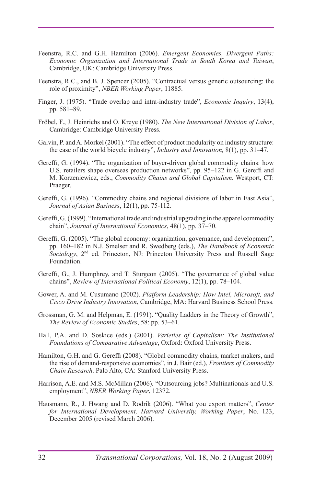- Feenstra, R.C. and G.H. Hamilton (2006). *Emergent Economies, Divergent Paths: Economic Organization and International Trade in South Korea and Taiwan*, Cambridge, UK: Cambridge University Press.
- Feenstra, R.C., and B. J. Spencer (2005). "Contractual versus generic outsourcing: the role of proximity", *NBER Working Paper*, 11885.
- Finger, J. (1975). "Trade overlap and intra-industry trade", *Economic Inquiry*, 13(4), pp. 581–89.
- Fröbel, F., J. Heinrichs and O. Kreye (1980). *The New International Division of Labor*, Cambridge: Cambridge University Press.
- Galvin, P. and A. Morkel (2001). "The effect of product modularity on industry structure: the case of the world bicycle industry", *Industry and Innovation,* 8(1), pp. 31–47.
- Gereffi, G. (1994). "The organization of buyer-driven global commodity chains: how U.S. retailers shape overseas production networks", pp. 95–122 in G. Gereffi and M. Korzeniewicz, eds., *Commodity Chains and Global Capitalism.* Westport, CT: Praeger.
- Gereffi, G. (1996). "Commodity chains and regional divisions of labor in East Asia", *Journal of Asian Business*, 12(1), pp. 75-112.
- Gereffi, G. (1999). "International trade and industrial upgrading in the apparel commodity chain", *Journal of International Economics*, 48(1), pp. 37–70.
- Gereffi, G. (2005). "The global economy: organization, governance, and development", pp. 160–182 in N.J. Smelser and R. Swedberg (eds.), *The Handbook of Economic Sociology*, 2nd ed. Princeton, NJ: Princeton University Press and Russell Sage Foundation.
- Gereffi, G., J. Humphrey, and T. Sturgeon (2005). "The governance of global value chains", *Review of International Political Economy*, 12(1), pp. 78–104.
- Gower, A. and M. Cusumano (2002). *Platform Leadership: How Intel, Microsoft, and Cisco Drive Industry Innovation*, Cambridge, MA: Harvard Business School Press.
- Grossman, G. M. and Helpman, E. (1991). "Quality Ladders in the Theory of Growth", *The Review of Economic Studies*, 58: pp. 53–61.
- Hall, P.A. and D. Soskice (eds.) (2001). *Varieties of Capitalism: The Institutional Foundations of Comparative Advantage*, Oxford: Oxford University Press.
- Hamilton, G.H. and G. Gereffi (2008). "Global commodity chains, market makers, and the rise of demand-responsive economies", in J. Bair (ed.), *Frontiers of Commodity Chain Research*. Palo Alto, CA: Stanford University Press.
- Harrison, A.E. and M.S. McMillan (2006). "Outsourcing jobs? Multinationals and U.S. employment", *NBER Working Paper*, 12372.
- Hausmann, R., J. Hwang and D. Rodrik (2006). "What you export matters", *Center for International Development, Harvard University, Working Paper*, No. 123, December 2005 (revised March 2006).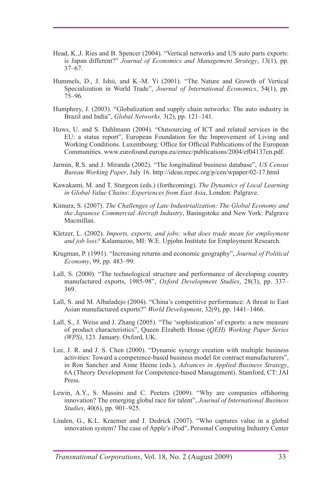- Head, K.,J. Ries and B. Spencer (2004). "Vertical networks and US auto parts exports: is Japan different?" *Journal of Economics and Management Strategy*, 13(1), pp. 37–67.
- Hummels, D., J. Ishii, and K.-M. Yi (2001). "The Nature and Growth of Vertical Specialization in World Trade", *Journal of International Economics*, 54(1), pp. 75–96.
- Humphrey, J. (2003). "Globalization and supply chain networks: The auto industry in Brazil and India", *Global Networks,* 3(2), pp. 121–141.
- Huws, U. and S. Dahlmann (2004). "Outsourcing of ICT and related services in the EU: a status report", European Foundation for the Improvement of Living and Working Conditions. Luxembourg: Office for Official Publications of the European Communities. www.eurofound.europa.eu/emcc/publications/2004/ef04137en.pdf.
- Jarmin, R.S. and J. Miranda (2002). "The longitudinal business database", *US Census Bureau Working Paper*, July 16. http://ideas.repec.org/p/cen/wpaper/02-17.html
- Kawakami, M. and T. Sturgeon (eds.) (forthcoming). *The Dynamics of Local Learning in Global Value Chains: Experiences from East Asia*, London: Palgrave.
- Kimura, S. (2007). *The Challenges of Late Industrialization: The Global Economy and the Japanese Commercial Aircraft Industry*, Basingstoke and New York: Palgrave Macmillan.
- Kletzer, L. (2002). *Imports, exports, and jobs: what does trade mean for employment and job loss?* Kalamazoo, MI: W.E. Upjohn Institute for Employment Research.
- Krugman, P. (1991). "Increasing returns and economic geography", *Journal of Political Economy*, 99, pp. 483–99.
- Lall, S. (2000). "The technological structure and performance of developing country manufactured exports, 1985-98", *Oxford Development Studies*, 28(3), pp. 337– 369.
- Lall, S. and M. Albaladejo (2004). "China's competitive performance: A threat to East Asian manufactured exports?" *World Development*, 32(9), pp. 1441–1466.
- Lall, S., J. Weiss and J. Zhang (2005). "The 'sophistication' of exports: a new measure of product characteristics", Queen Elzabeth House (*QEH) Working Paper Series (WPS)*, 123*.* January. Oxford, UK.
- Lee, J. R. and J. S. Chen (2000). "Dynamic synergy creation with multiple business activities: Toward a competence-based business model for contract manufacturers", in Ron Sanchez and Aime Heene (eds.), *Advances in Applied Business Strategy*, 6A (Theory Development for Competence-based Management). Stamford, CT: JAI Press.
- Lewin, A.Y., S. Massini and C. Peeters (2009). "Why are companies offshoring innovation? The emerging global race for talent", *Journal of International Business Studies*, 40(6), pp. 901–925.
- Linden, G., K.L. Kraemer and J. Dedrick (2007). "Who captures value in a global innovation system? The case of Apple's iPod", Personal Computing Industry Center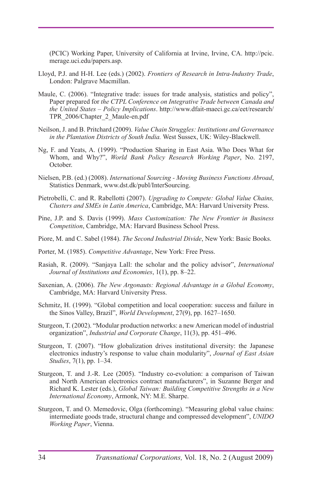(PCIC) Working Paper, University of California at Irvine, Irvine, CA. http://pcic. merage.uci.edu/papers.asp.

- Lloyd, P.J. and H-H. Lee (eds.) (2002). *Frontiers of Research in Intra-Industry Trade*, London: Palgrave Macmillan.
- Maule, C. (2006). "Integrative trade: issues for trade analysis, statistics and policy", Paper prepared for *the CTPL Conference on Integrative Trade between Canada and the United States – Policy Implications*. http://www.dfait-maeci.gc.ca/eet/research/ TPR\_2006/Chapter\_2\_Maule-en.pdf
- Neilson, J. and B. Pritchard (2009). *Value Chain Struggles: Institutions and Governance in the Plantation Districts of South India.* West Sussex, UK: Wiley-Blackwell.
- Ng, F. and Yeats, A. (1999). "Production Sharing in East Asia. Who Does What for Whom, and Why?", *World Bank Policy Research Working Paper*, No. 2197, October.
- Nielsen, P.B. (ed.) (2008). *International Sourcing Moving Business Functions Abroad*, Statistics Denmark, www.dst.dk/publ/InterSourcing.
- Pietrobelli, C. and R. Rabellotti (2007). *Upgrading to Compete: Global Value Chains, Clusters and SMEs in Latin America*, Cambridge, MA: Harvard University Press.
- Pine, J.P. and S. Davis (1999). *Mass Customization: The New Frontier in Business Competition*, Cambridge, MA: Harvard Business School Press.
- Piore, M. and C. Sabel (1984). *The Second Industrial Divide*, New York: Basic Books.
- Porter, M. (1985). *Competitive Advantage*, New York: Free Press.
- Rasiah, R. (2009). "Sanjaya Lall: the scholar and the policy advisor", *International Journal of Institutions and Economies*, 1(1), pp. 8–22.
- Saxenian, A. (2006). *The New Argonauts: Regional Advantage in a Global Economy*, Cambridge, MA: Harvard University Press.
- Schmitz, H. (1999). "Global competition and local cooperation: success and failure in the Sinos Valley, Brazil", *World Development*, 27(9), pp. 1627–1650.
- Sturgeon, T. (2002). "Modular production networks: a new American model of industrial organization", *Industrial and Corporate Change*, 11(3), pp. 451–496.
- Sturgeon, T. (2007). "How globalization drives institutional diversity: the Japanese electronics industry's response to value chain modularity", *Journal of East Asian Studies*, 7(1), pp. 1–34.
- Sturgeon, T. and J.-R. Lee (2005). "Industry co-evolution: a comparison of Taiwan and North American electronics contract manufacturers", in Suzanne Berger and Richard K. Lester (eds.), *Global Taiwan: Building Competitive Strengths in a New International Economy*, Armonk, NY: M.E. Sharpe.
- Sturgeon, T. and O. Memedovic, Olga (forthcoming). "Measuring global value chains: intermediate goods trade, structural change and compressed development", *UNIDO Working Paper*, Vienna.